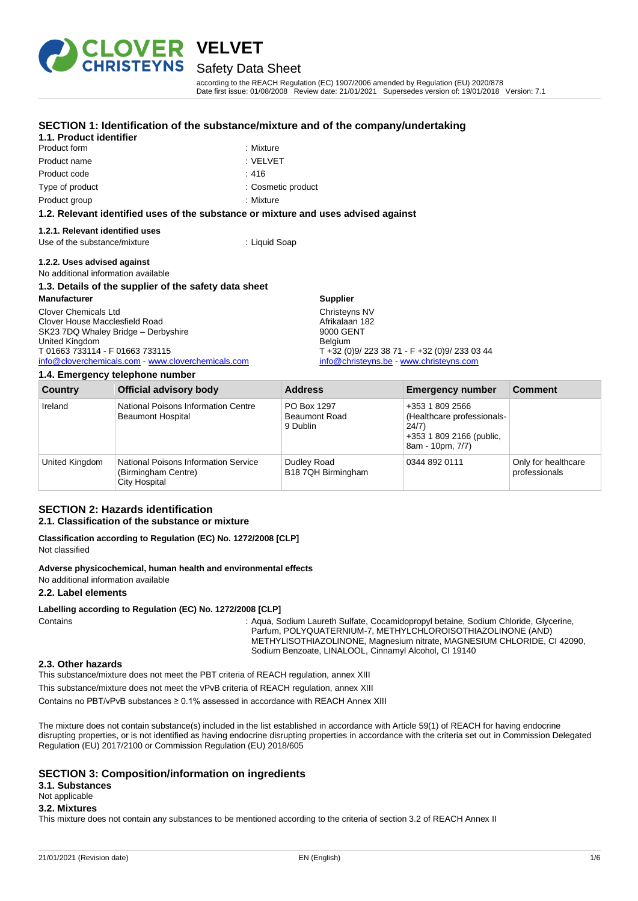

Product form **: Mixture** : Mixture

**1.1. Product identifier**

# **VELVET** Safety Data Sheet

**SECTION 1: Identification of the substance/mixture and of the company/undertaking**

according to the REACH Regulation (EC) 1907/2006 amended by Regulation (EU) 2020/878 Date first issue: 01/08/2008 Review date: 21/01/2021 Supersedes version of: 19/01/2018 Version: 7.1

| Product name                                                                       | : VELVET                                                      |
|------------------------------------------------------------------------------------|---------------------------------------------------------------|
| Product code                                                                       | :416                                                          |
| Type of product                                                                    | : Cosmetic product                                            |
| Product group                                                                      | : Mixture                                                     |
| 1.2. Relevant identified uses of the substance or mixture and uses advised against |                                                               |
| 1.2.1. Relevant identified uses                                                    |                                                               |
| Use of the substance/mixture                                                       | : Liquid Soap                                                 |
| 1.2.2. Uses advised against                                                        |                                                               |
| No additional information available                                                |                                                               |
| 1.3. Details of the supplier of the safety data sheet                              |                                                               |
| <b>Manufacturer</b>                                                                | <b>Supplier</b>                                               |
| <b>Clover Chemicals Ltd</b>                                                        | Christeyns NV                                                 |
| Clover House Macclesfield Road                                                     | Afrikalaan 182                                                |
| SK23 7DQ Whaley Bridge - Derbyshire                                                | 9000 GENT                                                     |
| United Kingdom<br>T 01663 733114 - F 01663 733115                                  | <b>Belgium</b><br>$T + 32 (0)9/2233871 - F + 32 (0)9/2330344$ |
| info@cloverchemicals.com www.cloverchemicals.com                                   | info@christeyns.be www.christeyns.com                         |
| 1.4. Emergency telephone number                                                    |                                                               |
|                                                                                    |                                                               |

| $1.7.$ Linergency telephone number |                                                                              |                                          |                                                                                                        |                                      |
|------------------------------------|------------------------------------------------------------------------------|------------------------------------------|--------------------------------------------------------------------------------------------------------|--------------------------------------|
| <b>Country</b>                     | <b>Official advisory body</b>                                                | <b>Address</b>                           | <b>Emergency number</b>                                                                                | <b>Comment</b>                       |
| Ireland                            | National Poisons Information Centre<br><b>Beaumont Hospital</b>              | PO Box 1297<br>Beaumont Road<br>9 Dublin | +353 1 809 2566<br>(Healthcare professionals-<br>24/7)<br>+353 1 809 2166 (public,<br>8am - 10pm, 7/7) |                                      |
| United Kingdom                     | National Poisons Information Service<br>(Birmingham Centre)<br>City Hospital | Dudley Road<br>B18 7QH Birmingham        | 0344 892 0111                                                                                          | Only for healthcare<br>professionals |

### **SECTION 2: Hazards identification 2.1. Classification of the substance or mixture**

**Classification according to Regulation (EC) No. 1272/2008 [CLP]** Not classified

**Adverse physicochemical, human health and environmental effects**

No additional information available

### **2.2. Label elements**

**Labelling according to Regulation (EC) No. 1272/2008 [CLP]**

Contains **Solice Contains** : Aqua, Sodium Laureth Sulfate, Cocamidopropyl betaine, Sodium Chloride, Glycerine, Parfum, POLYQUATERNIUM-7, METHYLCHLOROISOTHIAZOLINONE (AND) METHYLISOTHIAZOLINONE, Magnesium nitrate, MAGNESIUM CHLORIDE, CI 42090, Sodium Benzoate, LINALOOL, Cinnamyl Alcohol, CI 19140

### **2.3. Other hazards**

This substance/mixture does not meet the PBT criteria of REACH regulation, annex XIII

This substance/mixture does not meet the vPvB criteria of REACH regulation, annex XIII

Contains no PBT/vPvB substances ≥ 0.1% assessed in accordance with REACH Annex XIII

The mixture does not contain substance(s) included in the list established in accordance with Article 59(1) of REACH for having endocrine disrupting properties, or is not identified as having endocrine disrupting properties in accordance with the criteria set out in Commission Delegated Regulation (EU) 2017/2100 or Commission Regulation (EU) 2018/605

### **SECTION 3: Composition/information on ingredients**

**3.1. Substances**

## Not applicable

### **3.2. Mixtures**

This mixture does not contain any substances to be mentioned according to the criteria of section 3.2 of REACH Annex II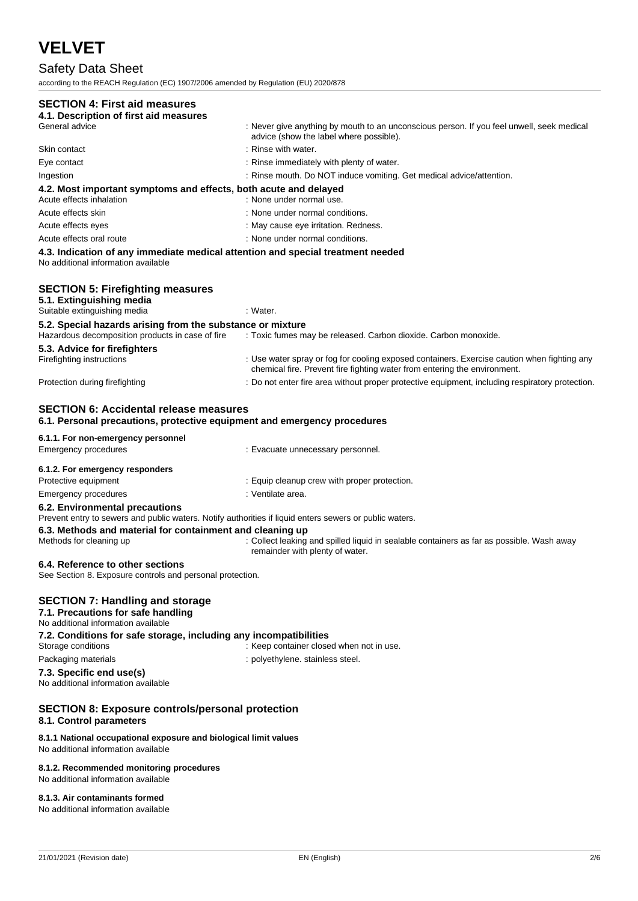# Safety Data Sheet

according to the REACH Regulation (EC) 1907/2006 amended by Regulation (EU) 2020/878

# **SECTION 4: First aid measures**

| OLUTIUN 4. FIISI dIU IIIBASUIBS<br>4.1. Description of first aid measures                                                                                                                |                                                                                                                                                                          |
|------------------------------------------------------------------------------------------------------------------------------------------------------------------------------------------|--------------------------------------------------------------------------------------------------------------------------------------------------------------------------|
| General advice                                                                                                                                                                           | : Never give anything by mouth to an unconscious person. If you feel unwell, seek medical                                                                                |
|                                                                                                                                                                                          | advice (show the label where possible).                                                                                                                                  |
| Skin contact                                                                                                                                                                             | : Rinse with water.                                                                                                                                                      |
| Eye contact                                                                                                                                                                              | : Rinse immediately with plenty of water.                                                                                                                                |
| Ingestion                                                                                                                                                                                | : Rinse mouth. Do NOT induce vomiting. Get medical advice/attention.                                                                                                     |
| 4.2. Most important symptoms and effects, both acute and delayed<br>Acute effects inhalation                                                                                             | : None under normal use.                                                                                                                                                 |
| Acute effects skin                                                                                                                                                                       | : None under normal conditions.                                                                                                                                          |
| Acute effects eyes                                                                                                                                                                       | : May cause eye irritation. Redness.                                                                                                                                     |
| Acute effects oral route                                                                                                                                                                 | : None under normal conditions.                                                                                                                                          |
| 4.3. Indication of any immediate medical attention and special treatment needed<br>No additional information available                                                                   |                                                                                                                                                                          |
| <b>SECTION 5: Firefighting measures</b><br>5.1. Extinguishing media                                                                                                                      |                                                                                                                                                                          |
| Suitable extinguishing media                                                                                                                                                             | : Water.                                                                                                                                                                 |
| 5.2. Special hazards arising from the substance or mixture<br>Hazardous decomposition products in case of fire                                                                           | : Toxic fumes may be released. Carbon dioxide. Carbon monoxide.                                                                                                          |
| 5.3. Advice for firefighters<br>Firefighting instructions                                                                                                                                | : Use water spray or fog for cooling exposed containers. Exercise caution when fighting any<br>chemical fire. Prevent fire fighting water from entering the environment. |
| Protection during firefighting                                                                                                                                                           | : Do not enter fire area without proper protective equipment, including respiratory protection.                                                                          |
| <b>SECTION 6: Accidental release measures</b><br>6.1. Personal precautions, protective equipment and emergency procedures                                                                |                                                                                                                                                                          |
| 6.1.1. For non-emergency personnel                                                                                                                                                       |                                                                                                                                                                          |
| Emergency procedures                                                                                                                                                                     | : Evacuate unnecessary personnel.                                                                                                                                        |
| 6.1.2. For emergency responders                                                                                                                                                          |                                                                                                                                                                          |
| Protective equipment                                                                                                                                                                     | : Equip cleanup crew with proper protection.                                                                                                                             |
| <b>Emergency procedures</b>                                                                                                                                                              | : Ventilate area.                                                                                                                                                        |
| 6.2. Environmental precautions<br>Prevent entry to sewers and public waters. Notify authorities if liquid enters sewers or public waters.                                                |                                                                                                                                                                          |
| 6.3. Methods and material for containment and cleaning up<br>Methods for cleaning up                                                                                                     | : Collect leaking and spilled liquid in sealable containers as far as possible. Wash away<br>remainder with plenty of water.                                             |
| 6.4. Reference to other sections<br>See Section 8. Exposure controls and personal protection.                                                                                            |                                                                                                                                                                          |
| <b>SECTION 7: Handling and storage</b><br>7.1. Precautions for safe handling<br>No additional information available<br>7.2. Conditions for safe storage, including any incompatibilities |                                                                                                                                                                          |
| Storage conditions                                                                                                                                                                       | : Keep container closed when not in use.                                                                                                                                 |
| Packaging materials                                                                                                                                                                      | : polyethylene. stainless steel.                                                                                                                                         |
| 7.3. Specific end use(s)<br>No additional information available                                                                                                                          |                                                                                                                                                                          |
| <b>SECTION 8: Exposure controls/personal protection</b><br>8.1. Control parameters                                                                                                       |                                                                                                                                                                          |
| 8.1.1 National occupational exposure and biological limit values<br>No additional information available                                                                                  |                                                                                                                                                                          |
| 8.1.2. Recommended monitoring procedures<br>No additional information available                                                                                                          |                                                                                                                                                                          |

**8.1.3. Air contaminants formed**

No additional information available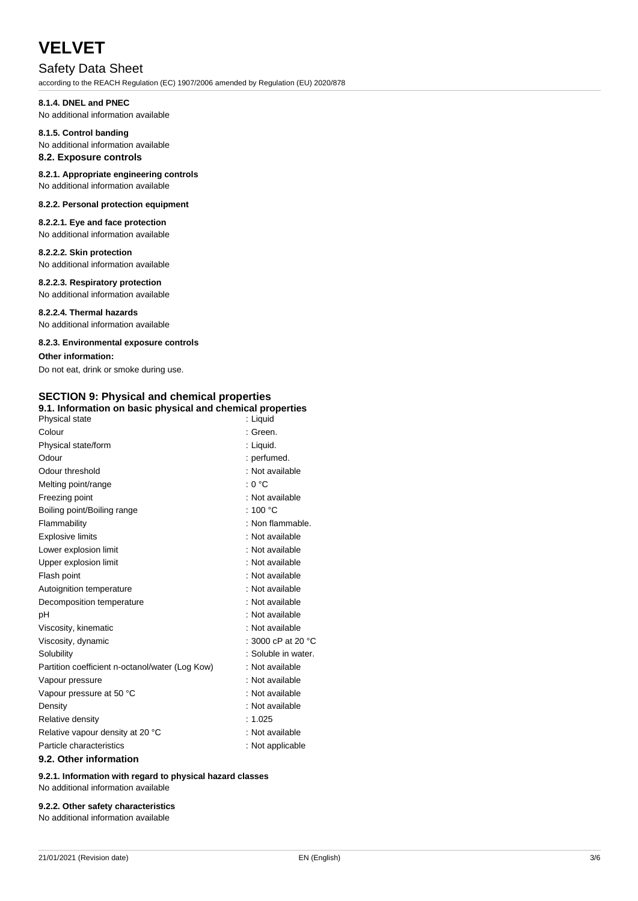# Safety Data Sheet

according to the REACH Regulation (EC) 1907/2006 amended by Regulation (EU) 2020/878

# **8.1.4. DNEL and PNEC**

No additional information available

#### **8.1.5. Control banding** No additional information available

# **8.2. Exposure controls**

### **8.2.1. Appropriate engineering controls** No additional information available

## **8.2.2. Personal protection equipment**

**8.2.2.1. Eye and face protection** No additional information available

## **8.2.2.2. Skin protection**

No additional information available

## **8.2.2.3. Respiratory protection**

No additional information available

**8.2.2.4. Thermal hazards** No additional information available

## **8.2.3. Environmental exposure controls**

## **Other information:**

Do not eat, drink or smoke during use.

# **SECTION 9: Physical and chemical properties**

| 9.1. Information on basic physical and chemical properties |                              |
|------------------------------------------------------------|------------------------------|
| Physical state                                             | : Liguid                     |
| Colour                                                     | : Green.                     |
| Physical state/form                                        | : Liquid.                    |
| Odour                                                      | : perfumed.                  |
| Odour threshold                                            | : Not available              |
| Melting point/range                                        | : 0 °C                       |
| Freezing point                                             | : Not available              |
| Boiling point/Boiling range                                | : $100 °C$                   |
| Flammability                                               | : Non flammable.             |
| <b>Explosive limits</b>                                    | : Not available              |
| Lower explosion limit                                      | : Not available              |
| Upper explosion limit                                      | : Not available              |
| Flash point                                                | : Not available              |
| Autoignition temperature                                   | : Not available              |
| Decomposition temperature                                  | : Not available              |
| рH                                                         | : Not available              |
| Viscosity, kinematic                                       | : Not available              |
| Viscosity, dynamic                                         | : 3000 cP at 20 $^{\circ}$ C |
| Solubility                                                 | : Soluble in water.          |
| Partition coefficient n-octanol/water (Log Kow)            | : Not available              |
| Vapour pressure                                            | : Not available              |
| Vapour pressure at 50 °C                                   | : Not available              |
| Density                                                    | : Not available              |
| Relative density                                           | : 1.025                      |
| Relative vapour density at 20 °C                           | : Not available              |
| Particle characteristics                                   | : Not applicable             |
| 9.2. Other information                                     |                              |

**9.2.1. Information with regard to physical hazard classes** No additional information available

## **9.2.2. Other safety characteristics**

No additional information available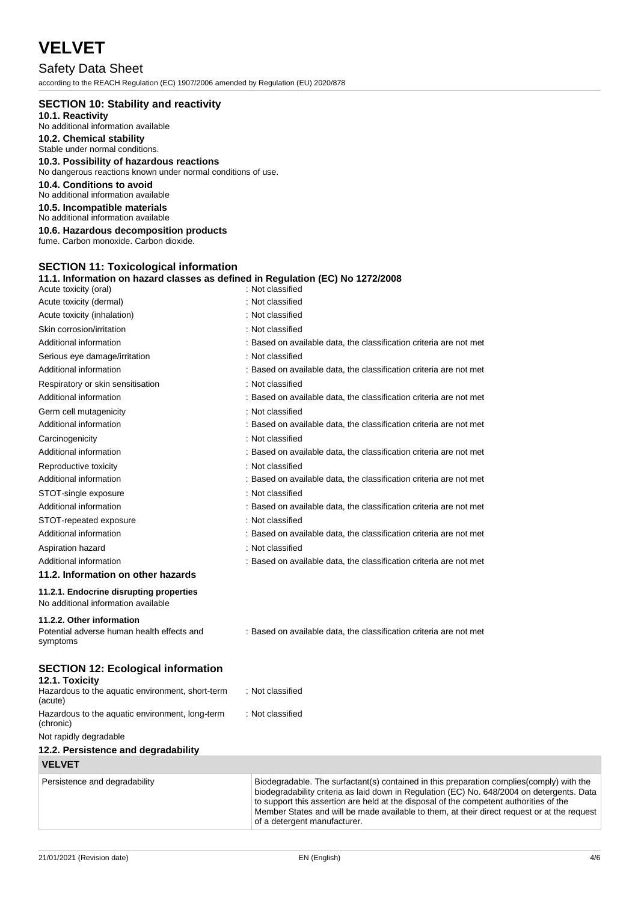Safety Data Sheet according to the REACH Regulation (EC) 1907/2006 amended by Regulation (EU) 2020/878

## **SECTION 10: Stability and reactivity 10.1. Reactivity** No additional information available **10.2. Chemical stability** Stable under normal conditions. **10.3. Possibility of hazardous reactions** No dangerous reactions known under normal conditions of use. **10.4. Conditions to avoid** No additional information available **10.5. Incompatible materials** No additional information available **10.6. Hazardous decomposition products** fume. Carbon monoxide. Carbon dioxide. **SECTION 11: Toxicological information 11.1. Information on hazard classes as defined in Regulation (EC) No 1272/2008** Acute toxicity (oral) Acute toxicity (dermal) **Example 2** : Not classified Acute toxicity (inhalation)  $\qquad \qquad$ : Not classified Skin corrosion/irritation : Not classified Additional information **into the classification** : Based on available data, the classification criteria are not met Serious eye damage/irritation : Not classified

Additional information : Based on available data, the classification criteria are not met Respiratory or skin sensitisation **in the sensitism**: Not classified Additional information : Based on available data, the classification criteria are not met Germ cell mutagenicity **EXECUTE:** Not classified Additional information : Based on available data, the classification criteria are not met Carcinogenicity **Carcinogenicity** : Not classified Additional information : Based on available data, the classification criteria are not met Reproductive toxicity in the set of the Not classified Additional information : Based on available data, the classification criteria are not met STOT-single exposure in the state of the state of the STOT-single exposure Additional information **interval in the classification** : Based on available data, the classification criteria are not met STOT-repeated exposure in the state of the state of the STOT-repeated exposure Additional information : Based on available data, the classification criteria are not met Aspiration hazard is a set of the set of the set of the set of the set of the set of the set of the set of the set of the set of the set of the set of the set of the set of the set of the set of the set of the set of the s Additional information : Based on available data, the classification criteria are not met **11.2. Information on other hazards 11.2.1. Endocrine disrupting properties** No additional information available

### **11.2.2. Other information**

Potential adverse human health effects and symptoms

: Based on available data, the classification criteria are not met

### **SECTION 12: Ecological information**

| 12.2. Persistence and degradability                                           |                  |
|-------------------------------------------------------------------------------|------------------|
| Not rapidly degradable                                                        |                  |
| Hazardous to the aquatic environment, long-term<br>(chronic)                  | : Not classified |
| 12.1. Toxicity<br>Hazardous to the aquatic environment, short-term<br>(acute) | : Not classified |
|                                                                               |                  |

### **VELVET**

| Persistence and degradability | Biodegradable. The surfactant(s) contained in this preparation complies (comply) with the<br>$\mid$ biodegradability criteria as laid down in Regulation (EC) No. 648/2004 on detergents. Data $\mid$<br>to support this assertion are held at the disposal of the competent authorities of the<br>Member States and will be made available to them, at their direct request or at the request<br>of a detergent manufacturer. |
|-------------------------------|--------------------------------------------------------------------------------------------------------------------------------------------------------------------------------------------------------------------------------------------------------------------------------------------------------------------------------------------------------------------------------------------------------------------------------|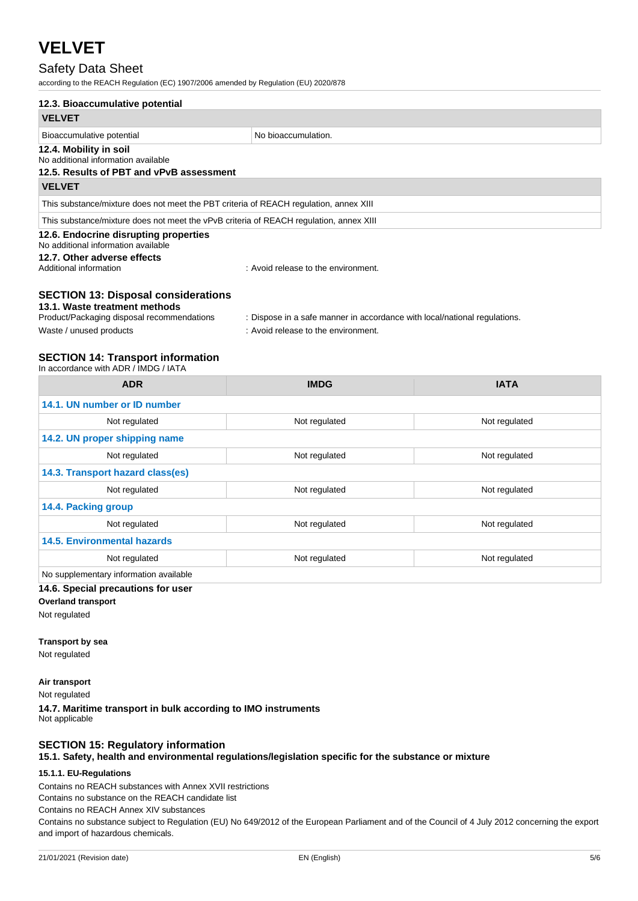## Safety Data Sheet

according to the REACH Regulation (EC) 1907/2006 amended by Regulation (EU) 2020/878

| 12.3. Bioaccumulative potential                                                        |                                                                           |  |
|----------------------------------------------------------------------------------------|---------------------------------------------------------------------------|--|
| <b>VELVET</b>                                                                          |                                                                           |  |
| Bioaccumulative potential                                                              | No bioaccumulation.                                                       |  |
| 12.4. Mobility in soil<br>No additional information available                          |                                                                           |  |
| 12.5. Results of PBT and vPvB assessment                                               |                                                                           |  |
| <b>VELVET</b>                                                                          |                                                                           |  |
| This substance/mixture does not meet the PBT criteria of REACH regulation, annex XIII  |                                                                           |  |
| This substance/mixture does not meet the vPvB criteria of REACH regulation, annex XIII |                                                                           |  |
| 12.6. Endocrine disrupting properties<br>No additional information available           |                                                                           |  |
| 12.7. Other adverse effects                                                            |                                                                           |  |
| Additional information                                                                 | : Avoid release to the environment.                                       |  |
| <b>SECTION 13: Disposal considerations</b>                                             |                                                                           |  |
| 13.1. Waste treatment methods                                                          |                                                                           |  |
| Product/Packaging disposal recommendations                                             | : Dispose in a safe manner in accordance with local/national regulations. |  |
| Waste / unused products<br>: Avoid release to the environment.                         |                                                                           |  |

#### **SECTION 14: Transport information** In accordance with ADR / IMDG / IATA

| <b>ADR</b>                             | <b>IMDG</b>   | <b>IATA</b>   |  |
|----------------------------------------|---------------|---------------|--|
| 14.1. UN number or ID number           |               |               |  |
| Not regulated                          | Not regulated | Not regulated |  |
| 14.2. UN proper shipping name          |               |               |  |
| Not regulated                          | Not regulated | Not regulated |  |
| 14.3. Transport hazard class(es)       |               |               |  |
| Not regulated                          | Not regulated | Not regulated |  |
| 14.4. Packing group                    |               |               |  |
| Not regulated                          | Not regulated | Not regulated |  |
| <b>14.5. Environmental hazards</b>     |               |               |  |
| Not regulated                          | Not regulated | Not regulated |  |
| No supplementary information available |               |               |  |

#### **14.6. Special precautions for user**

**Overland transport**

Not regulated

**Transport by sea**

Not regulated

**Air transport** Not regulated **14.7. Maritime transport in bulk according to IMO instruments** Not applicable

## **SECTION 15: Regulatory information**

**15.1. Safety, health and environmental regulations/legislation specific for the substance or mixture**

## **15.1.1. EU-Regulations**

Contains no REACH substances with Annex XVII restrictions

Contains no substance on the REACH candidate list

Contains no REACH Annex XIV substances

Contains no substance subject to Regulation (EU) No 649/2012 of the European Parliament and of the Council of 4 July 2012 concerning the export and import of hazardous chemicals.